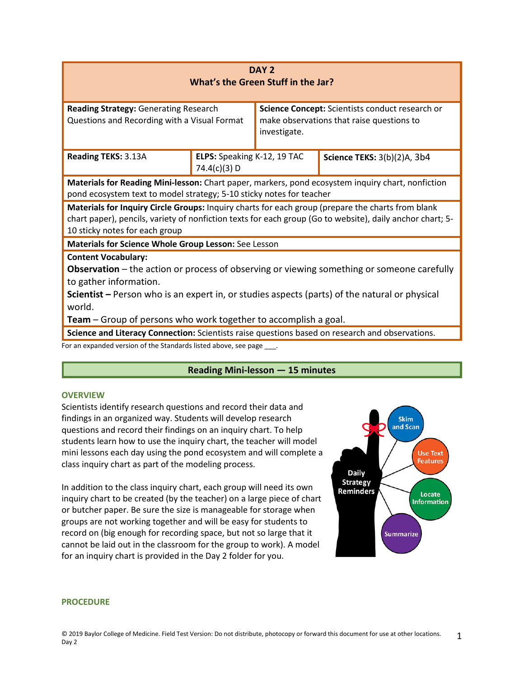| DAY <sub>2</sub><br>What's the Green Stuff in the Jar?                                                                                                                                                                                                                                                                                  |                                             |                                                                                                              |                             |  |  |  |  |  |
|-----------------------------------------------------------------------------------------------------------------------------------------------------------------------------------------------------------------------------------------------------------------------------------------------------------------------------------------|---------------------------------------------|--------------------------------------------------------------------------------------------------------------|-----------------------------|--|--|--|--|--|
| <b>Reading Strategy: Generating Research</b><br>Questions and Recording with a Visual Format                                                                                                                                                                                                                                            |                                             | Science Concept: Scientists conduct research or<br>make observations that raise questions to<br>investigate. |                             |  |  |  |  |  |
| Reading TEKS: 3.13A                                                                                                                                                                                                                                                                                                                     | ELPS: Speaking K-12, 19 TAC<br>74.4(c)(3) D |                                                                                                              | Science TEKS: 3(b)(2)A, 3b4 |  |  |  |  |  |
| Materials for Reading Mini-lesson: Chart paper, markers, pond ecosystem inquiry chart, nonfiction<br>pond ecosystem text to model strategy; 5-10 sticky notes for teacher                                                                                                                                                               |                                             |                                                                                                              |                             |  |  |  |  |  |
| Materials for Inquiry Circle Groups: Inquiry charts for each group (prepare the charts from blank<br>chart paper), pencils, variety of nonfiction texts for each group (Go to website), daily anchor chart; 5-<br>10 sticky notes for each group                                                                                        |                                             |                                                                                                              |                             |  |  |  |  |  |
| Materials for Science Whole Group Lesson: See Lesson                                                                                                                                                                                                                                                                                    |                                             |                                                                                                              |                             |  |  |  |  |  |
| <b>Content Vocabulary:</b><br><b>Observation</b> – the action or process of observing or viewing something or someone carefully<br>to gather information.<br>Scientist – Person who is an expert in, or studies aspects (parts) of the natural or physical<br>world.<br>Team – Group of persons who work together to accomplish a goal. |                                             |                                                                                                              |                             |  |  |  |  |  |
| Science and Literacy Connection: Scientists raise questions based on research and observations.                                                                                                                                                                                                                                         |                                             |                                                                                                              |                             |  |  |  |  |  |
| For an expanded version of the Standards listed above, see page                                                                                                                                                                                                                                                                         |                                             |                                                                                                              |                             |  |  |  |  |  |

# **Reading Mini-lesson — 15 minutes**

#### **OVERVIEW**

Scientists identify research questions and record their data and findings in an organized way. Students will develop research questions and record their findings on an inquiry chart. To help students learn how to use the inquiry chart, the teacher will model mini lessons each day using the pond ecosystem and will complete a class inquiry chart as part of the modeling process.

In addition to the class inquiry chart, each group will need its own inquiry chart to be created (by the teacher) on a large piece of chart or butcher paper. Be sure the size is manageable for storage when groups are not working together and will be easy for students to record on (big enough for recording space, but not so large that it cannot be laid out in the classroom for the group to work). A model for an inquiry chart is provided in the Day 2 folder for you.



#### **PROCEDURE**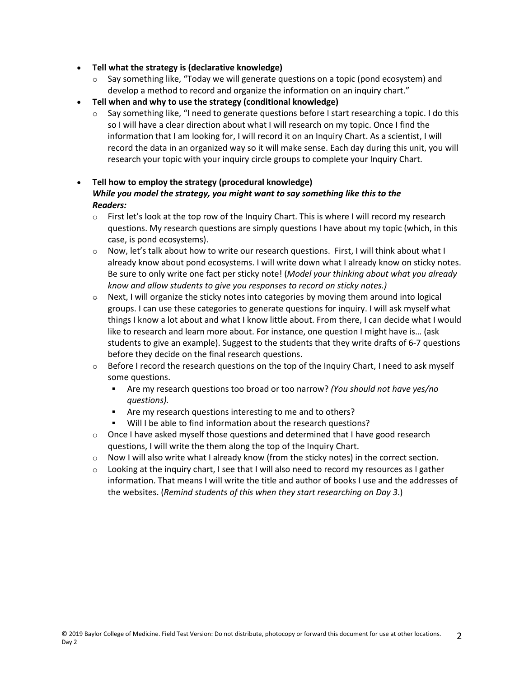- **Tell what the strategy is (declarative knowledge)**
	- $\circ$  Say something like, "Today we will generate questions on a topic (pond ecosystem) and develop a method to record and organize the information on an inquiry chart."
- **Tell when and why to use the strategy (conditional knowledge)**
	- $\circ$  Say something like, "I need to generate questions before I start researching a topic. I do this so I will have a clear direction about what I will research on my topic. Once I find the information that I am looking for, I will record it on an Inquiry Chart. As a scientist, I will record the data in an organized way so it will make sense. Each day during this unit, you will research your topic with your inquiry circle groups to complete your Inquiry Chart.
- **Tell how to employ the strategy (procedural knowledge)** *While you model the strategy, you might want to say something like this to the Readers:*
	- $\circ$  First let's look at the top row of the Inquiry Chart. This is where I will record my research questions. My research questions are simply questions I have about my topic (which, in this case, is pond ecosystems).
	- $\circ$  Now, let's talk about how to write our research questions. First, I will think about what I already know about pond ecosystems. I will write down what I already know on sticky notes. Be sure to only write one fact per sticky note! (*Model your thinking about what you already know and allow students to give you responses to record on sticky notes.)*
	- $\theta$  Next, I will organize the sticky notes into categories by moving them around into logical groups. I can use these categories to generate questions for inquiry. I will ask myself what things I know a lot about and what I know little about. From there, I can decide what I would like to research and learn more about. For instance, one question I might have is… (ask students to give an example). Suggest to the students that they write drafts of 6-7 questions before they decide on the final research questions.
	- $\circ$  Before I record the research questions on the top of the Inquiry Chart, I need to ask myself some questions.
		- Are my research questions too broad or too narrow? *(You should not have yes/no questions).*
		- Are my research questions interesting to me and to others?
		- Will I be able to find information about the research questions?
	- $\circ$  Once I have asked myself those questions and determined that I have good research questions, I will write the them along the top of the Inquiry Chart.
	- $\circ$  Now I will also write what I already know (from the sticky notes) in the correct section.
	- $\circ$  Looking at the inquiry chart, I see that I will also need to record my resources as I gather information. That means I will write the title and author of books I use and the addresses of the websites. (*Remind students of this when they start researching on Day 3*.)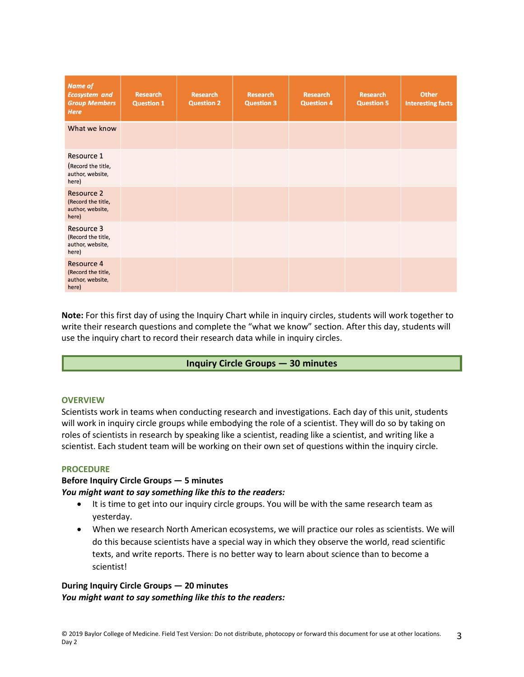| <b>Name of</b><br><b>Ecosystem and</b><br><b>Group Members</b><br><b>Here</b> | <b>Research</b><br><b>Question 1</b> | <b>Research</b><br><b>Question 2</b> | <b>Research</b><br><b>Question 3</b> | <b>Research</b><br><b>Question 4</b> | <b>Research</b><br><b>Question 5</b> | <b>Other</b><br><b>Interesting facts</b> |
|-------------------------------------------------------------------------------|--------------------------------------|--------------------------------------|--------------------------------------|--------------------------------------|--------------------------------------|------------------------------------------|
| What we know                                                                  |                                      |                                      |                                      |                                      |                                      |                                          |
| <b>Resource 1</b><br>(Record the title,<br>author, website,<br>here)          |                                      |                                      |                                      |                                      |                                      |                                          |
| <b>Resource 2</b><br>(Record the title,<br>author, website,<br>here)          |                                      |                                      |                                      |                                      |                                      |                                          |
| <b>Resource 3</b><br>(Record the title,<br>author, website,<br>here)          |                                      |                                      |                                      |                                      |                                      |                                          |
| <b>Resource 4</b><br>(Record the title,<br>author, website,<br>here)          |                                      |                                      |                                      |                                      |                                      |                                          |

**Note:** For this first day of using the Inquiry Chart while in inquiry circles, students will work together to write their research questions and complete the "what we know" section. After this day, students will use the inquiry chart to record their research data while in inquiry circles.

## **Inquiry Circle Groups — 30 minutes**

#### **OVERVIEW**

Scientists work in teams when conducting research and investigations. Each day of this unit, students will work in inquiry circle groups while embodying the role of a scientist. They will do so by taking on roles of scientists in research by speaking like a scientist, reading like a scientist, and writing like a scientist. Each student team will be working on their own set of questions within the inquiry circle.

## **PROCEDURE**

## **Before Inquiry Circle Groups — 5 minutes**  *You might want to say something like this to the readers:*

- It is time to get into our inquiry circle groups. You will be with the same research team as yesterday.
- When we research North American ecosystems, we will practice our roles as scientists. We will do this because scientists have a special way in which they observe the world, read scientific texts, and write reports. There is no better way to learn about science than to become a scientist!

## **During Inquiry Circle Groups — 20 minutes**  *You might want to say something like this to the readers:*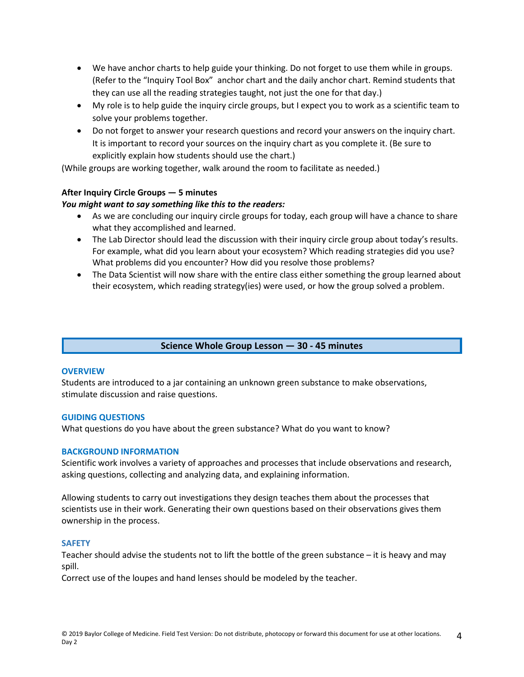- We have anchor charts to help guide your thinking. Do not forget to use them while in groups. (Refer to the "Inquiry Tool Box" anchor chart and the daily anchor chart. Remind students that they can use all the reading strategies taught, not just the one for that day.)
- My role is to help guide the inquiry circle groups, but I expect you to work as a scientific team to solve your problems together.
- Do not forget to answer your research questions and record your answers on the inquiry chart. It is important to record your sources on the inquiry chart as you complete it. (Be sure to explicitly explain how students should use the chart.)

(While groups are working together, walk around the room to facilitate as needed.)

## **After Inquiry Circle Groups — 5 minutes**

## *You might want to say something like this to the readers:*

- As we are concluding our inquiry circle groups for today, each group will have a chance to share what they accomplished and learned.
- The Lab Director should lead the discussion with their inquiry circle group about today's results. For example, what did you learn about your ecosystem? Which reading strategies did you use? What problems did you encounter? How did you resolve those problems?
- The Data Scientist will now share with the entire class either something the group learned about their ecosystem, which reading strategy(ies) were used, or how the group solved a problem.

## **Science Whole Group Lesson — 30 - 45 minutes**

#### **OVERVIEW**

Students are introduced to a jar containing an unknown green substance to make observations, stimulate discussion and raise questions.

#### **GUIDING QUESTIONS**

What questions do you have about the green substance? What do you want to know?

#### **BACKGROUND INFORMATION**

Scientific work involves a variety of approaches and processes that include observations and research, asking questions, collecting and analyzing data, and explaining information.

Allowing students to carry out investigations they design teaches them about the processes that scientists use in their work. Generating their own questions based on their observations gives them ownership in the process.

#### **SAFETY**

Teacher should advise the students not to lift the bottle of the green substance – it is heavy and may spill.

Correct use of the loupes and hand lenses should be modeled by the teacher.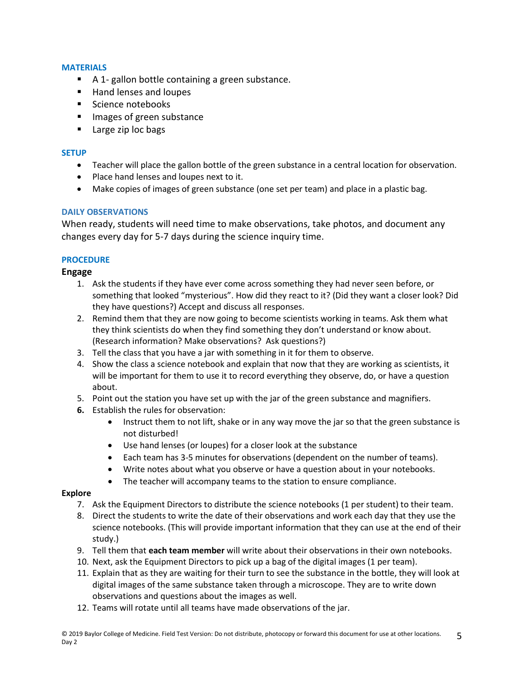# **MATERIALS**

- A 1- gallon bottle containing a green substance.
- Hand lenses and loupes
- Science notebooks
- **IMAGE 18 Images of green substance**
- **Large zip loc bags**

## **SETUP**

- Teacher will place the gallon bottle of the green substance in a central location for observation.
- Place hand lenses and loupes next to it.
- Make copies of images of green substance (one set per team) and place in a plastic bag.

# **DAILY OBSERVATIONS**

When ready, students will need time to make observations, take photos, and document any changes every day for 5-7 days during the science inquiry time.

# **PROCEDURE**

# **Engage**

- 1. Ask the students if they have ever come across something they had never seen before, or something that looked "mysterious". How did they react to it? (Did they want a closer look? Did they have questions?) Accept and discuss all responses.
- 2. Remind them that they are now going to become scientists working in teams. Ask them what they think scientists do when they find something they don't understand or know about. (Research information? Make observations? Ask questions?)
- 3. Tell the class that you have a jar with something in it for them to observe.
- 4. Show the class a science notebook and explain that now that they are working as scientists, it will be important for them to use it to record everything they observe, do, or have a question about.
- 5. Point out the station you have set up with the jar of the green substance and magnifiers.
- **6.** Establish the rules for observation:
	- Instruct them to not lift, shake or in any way move the jar so that the green substance is not disturbed!
	- Use hand lenses (or loupes) for a closer look at the substance
	- Each team has 3-5 minutes for observations (dependent on the number of teams).
	- Write notes about what you observe or have a question about in your notebooks.
	- The teacher will accompany teams to the station to ensure compliance.

## **Explore**

- 7. Ask the Equipment Directors to distribute the science notebooks (1 per student) to their team.
- 8. Direct the students to write the date of their observations and work each day that they use the science notebooks. (This will provide important information that they can use at the end of their study.)
- 9. Tell them that **each team member** will write about their observations in their own notebooks.
- 10. Next, ask the Equipment Directors to pick up a bag of the digital images (1 per team).
- 11. Explain that as they are waiting for their turn to see the substance in the bottle, they will look at digital images of the same substance taken through a microscope. They are to write down observations and questions about the images as well.
- 12. Teams will rotate until all teams have made observations of the jar.